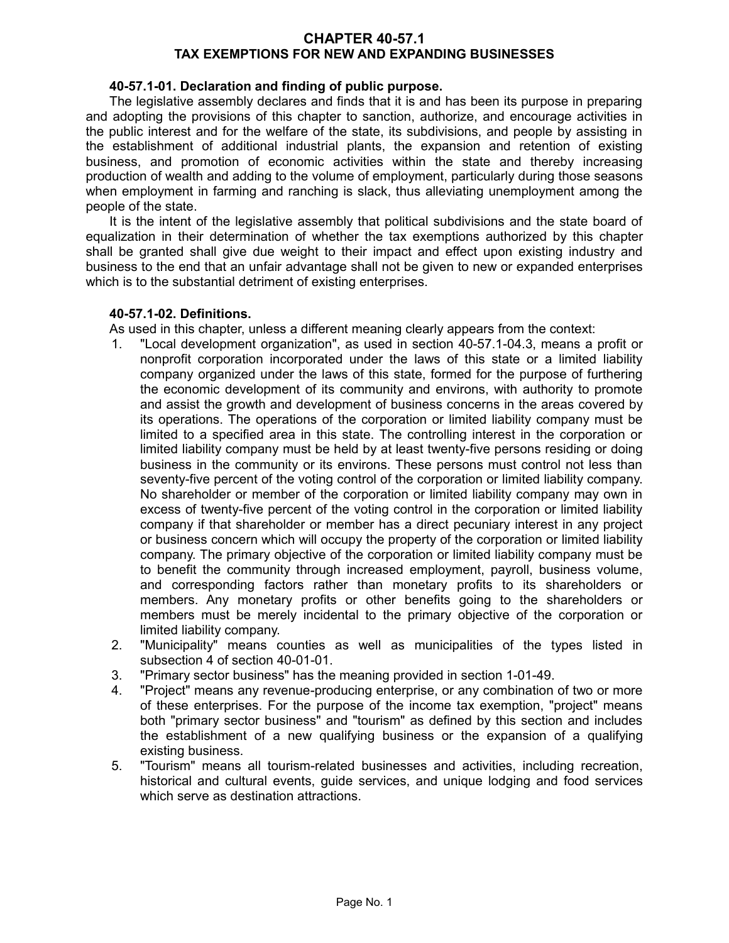### **CHAPTER 40-57.1 TAX EXEMPTIONS FOR NEW AND EXPANDING BUSINESSES**

### **40-57.1-01. Declaration and finding of public purpose.**

The legislative assembly declares and finds that it is and has been its purpose in preparing and adopting the provisions of this chapter to sanction, authorize, and encourage activities in the public interest and for the welfare of the state, its subdivisions, and people by assisting in the establishment of additional industrial plants, the expansion and retention of existing business, and promotion of economic activities within the state and thereby increasing production of wealth and adding to the volume of employment, particularly during those seasons when employment in farming and ranching is slack, thus alleviating unemployment among the people of the state.

It is the intent of the legislative assembly that political subdivisions and the state board of equalization in their determination of whether the tax exemptions authorized by this chapter shall be granted shall give due weight to their impact and effect upon existing industry and business to the end that an unfair advantage shall not be given to new or expanded enterprises which is to the substantial detriment of existing enterprises.

#### **40-57.1-02. Definitions.**

As used in this chapter, unless a different meaning clearly appears from the context:

- 1. "Local development organization", as used in section 40-57.1-04.3, means a profit or nonprofit corporation incorporated under the laws of this state or a limited liability company organized under the laws of this state, formed for the purpose of furthering the economic development of its community and environs, with authority to promote and assist the growth and development of business concerns in the areas covered by its operations. The operations of the corporation or limited liability company must be limited to a specified area in this state. The controlling interest in the corporation or limited liability company must be held by at least twenty-five persons residing or doing business in the community or its environs. These persons must control not less than seventy-five percent of the voting control of the corporation or limited liability company. No shareholder or member of the corporation or limited liability company may own in excess of twenty-five percent of the voting control in the corporation or limited liability company if that shareholder or member has a direct pecuniary interest in any project or business concern which will occupy the property of the corporation or limited liability company. The primary objective of the corporation or limited liability company must be to benefit the community through increased employment, payroll, business volume, and corresponding factors rather than monetary profits to its shareholders or members. Any monetary profits or other benefits going to the shareholders or members must be merely incidental to the primary objective of the corporation or limited liability company.
- 2. "Municipality" means counties as well as municipalities of the types listed in subsection 4 of section 40-01-01.
- 3. "Primary sector business" has the meaning provided in section 1-01-49.
- 4. "Project" means any revenue-producing enterprise, or any combination of two or more of these enterprises. For the purpose of the income tax exemption, "project" means both "primary sector business" and "tourism" as defined by this section and includes the establishment of a new qualifying business or the expansion of a qualifying existing business.
- 5. "Tourism" means all tourism-related businesses and activities, including recreation, historical and cultural events, guide services, and unique lodging and food services which serve as destination attractions.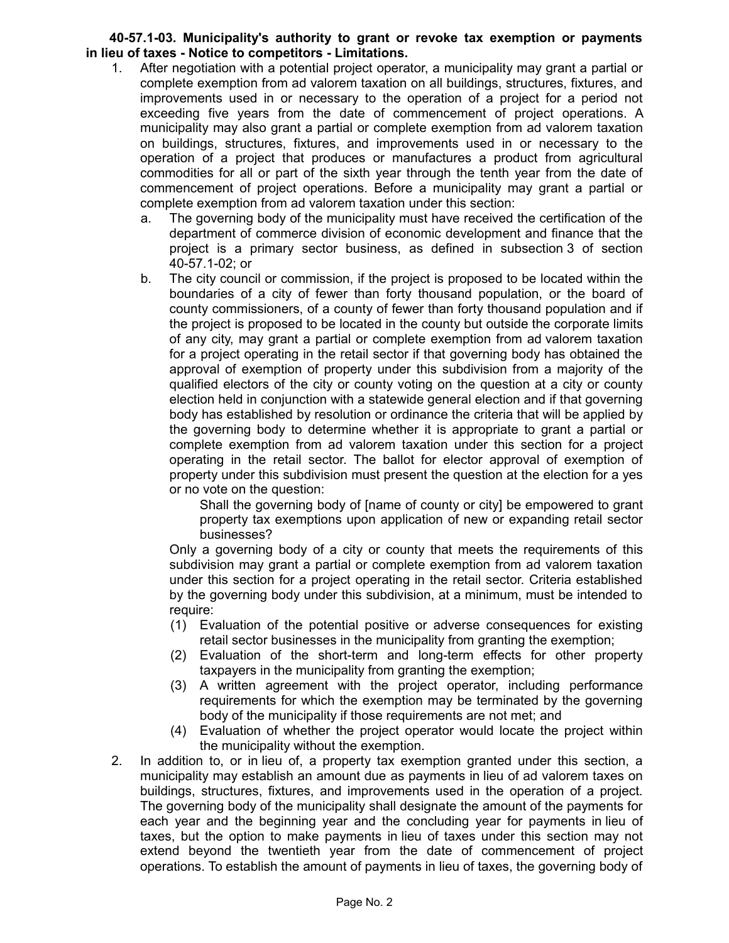### **40-57.1-03. Municipality's authority to grant or revoke tax exemption or payments in lieu of taxes - Notice to competitors - Limitations.**

- 1. After negotiation with a potential project operator, a municipality may grant a partial or complete exemption from ad valorem taxation on all buildings, structures, fixtures, and improvements used in or necessary to the operation of a project for a period not exceeding five years from the date of commencement of project operations. A municipality may also grant a partial or complete exemption from ad valorem taxation on buildings, structures, fixtures, and improvements used in or necessary to the operation of a project that produces or manufactures a product from agricultural commodities for all or part of the sixth year through the tenth year from the date of commencement of project operations. Before a municipality may grant a partial or complete exemption from ad valorem taxation under this section:
	- a. The governing body of the municipality must have received the certification of the department of commerce division of economic development and finance that the project is a primary sector business, as defined in subsection 3 of section 40-57.1-02; or
	- b. The city council or commission, if the project is proposed to be located within the boundaries of a city of fewer than forty thousand population, or the board of county commissioners, of a county of fewer than forty thousand population and if the project is proposed to be located in the county but outside the corporate limits of any city, may grant a partial or complete exemption from ad valorem taxation for a project operating in the retail sector if that governing body has obtained the approval of exemption of property under this subdivision from a majority of the qualified electors of the city or county voting on the question at a city or county election held in conjunction with a statewide general election and if that governing body has established by resolution or ordinance the criteria that will be applied by the governing body to determine whether it is appropriate to grant a partial or complete exemption from ad valorem taxation under this section for a project operating in the retail sector. The ballot for elector approval of exemption of property under this subdivision must present the question at the election for a yes or no vote on the question:

Shall the governing body of [name of county or city] be empowered to grant property tax exemptions upon application of new or expanding retail sector businesses?

Only a governing body of a city or county that meets the requirements of this subdivision may grant a partial or complete exemption from ad valorem taxation under this section for a project operating in the retail sector. Criteria established by the governing body under this subdivision, at a minimum, must be intended to require:

- (1) Evaluation of the potential positive or adverse consequences for existing retail sector businesses in the municipality from granting the exemption;
- (2) Evaluation of the short-term and long-term effects for other property taxpayers in the municipality from granting the exemption;
- (3) A written agreement with the project operator, including performance requirements for which the exemption may be terminated by the governing body of the municipality if those requirements are not met; and
- (4) Evaluation of whether the project operator would locate the project within the municipality without the exemption.
- 2. In addition to, or in lieu of, a property tax exemption granted under this section, a municipality may establish an amount due as payments in lieu of ad valorem taxes on buildings, structures, fixtures, and improvements used in the operation of a project. The governing body of the municipality shall designate the amount of the payments for each year and the beginning year and the concluding year for payments in lieu of taxes, but the option to make payments in lieu of taxes under this section may not extend beyond the twentieth year from the date of commencement of project operations. To establish the amount of payments in lieu of taxes, the governing body of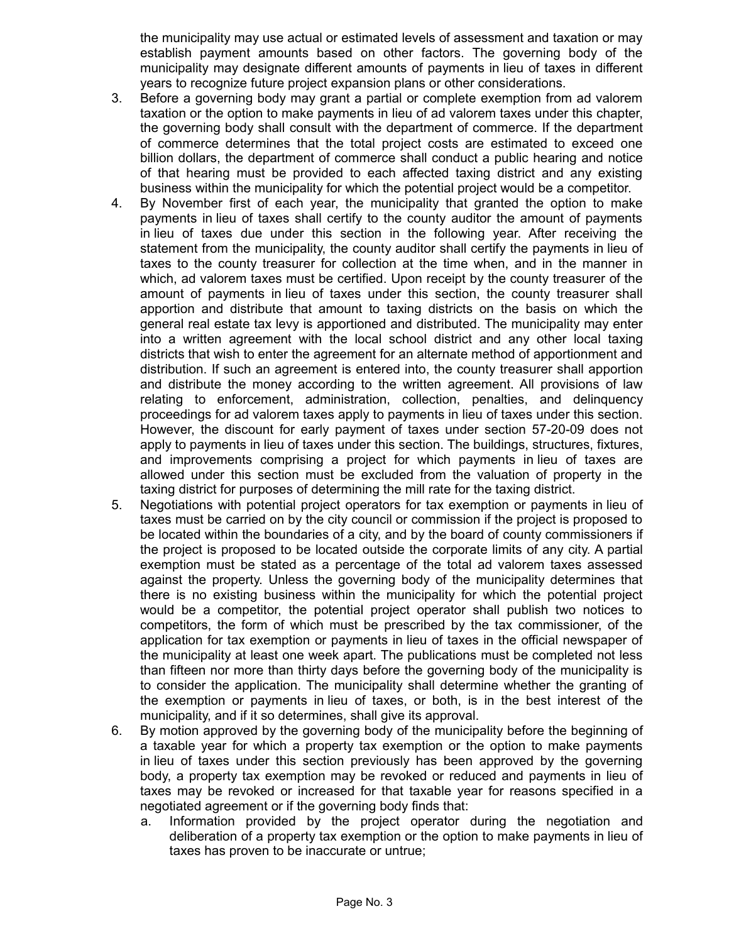the municipality may use actual or estimated levels of assessment and taxation or may establish payment amounts based on other factors. The governing body of the municipality may designate different amounts of payments in lieu of taxes in different years to recognize future project expansion plans or other considerations.

- 3. Before a governing body may grant a partial or complete exemption from ad valorem taxation or the option to make payments in lieu of ad valorem taxes under this chapter, the governing body shall consult with the department of commerce. If the department of commerce determines that the total project costs are estimated to exceed one billion dollars, the department of commerce shall conduct a public hearing and notice of that hearing must be provided to each affected taxing district and any existing business within the municipality for which the potential project would be a competitor.
- 4. By November first of each year, the municipality that granted the option to make payments in lieu of taxes shall certify to the county auditor the amount of payments in lieu of taxes due under this section in the following year. After receiving the statement from the municipality, the county auditor shall certify the payments in lieu of taxes to the county treasurer for collection at the time when, and in the manner in which, ad valorem taxes must be certified. Upon receipt by the county treasurer of the amount of payments in lieu of taxes under this section, the county treasurer shall apportion and distribute that amount to taxing districts on the basis on which the general real estate tax levy is apportioned and distributed. The municipality may enter into a written agreement with the local school district and any other local taxing districts that wish to enter the agreement for an alternate method of apportionment and distribution. If such an agreement is entered into, the county treasurer shall apportion and distribute the money according to the written agreement. All provisions of law relating to enforcement, administration, collection, penalties, and delinquency proceedings for ad valorem taxes apply to payments in lieu of taxes under this section. However, the discount for early payment of taxes under section 57-20-09 does not apply to payments in lieu of taxes under this section. The buildings, structures, fixtures, and improvements comprising a project for which payments in lieu of taxes are allowed under this section must be excluded from the valuation of property in the taxing district for purposes of determining the mill rate for the taxing district.
- 5. Negotiations with potential project operators for tax exemption or payments in lieu of taxes must be carried on by the city council or commission if the project is proposed to be located within the boundaries of a city, and by the board of county commissioners if the project is proposed to be located outside the corporate limits of any city. A partial exemption must be stated as a percentage of the total ad valorem taxes assessed against the property. Unless the governing body of the municipality determines that there is no existing business within the municipality for which the potential project would be a competitor, the potential project operator shall publish two notices to competitors, the form of which must be prescribed by the tax commissioner, of the application for tax exemption or payments in lieu of taxes in the official newspaper of the municipality at least one week apart. The publications must be completed not less than fifteen nor more than thirty days before the governing body of the municipality is to consider the application. The municipality shall determine whether the granting of the exemption or payments in lieu of taxes, or both, is in the best interest of the municipality, and if it so determines, shall give its approval.
- 6. By motion approved by the governing body of the municipality before the beginning of a taxable year for which a property tax exemption or the option to make payments in lieu of taxes under this section previously has been approved by the governing body, a property tax exemption may be revoked or reduced and payments in lieu of taxes may be revoked or increased for that taxable year for reasons specified in a negotiated agreement or if the governing body finds that:
	- a. Information provided by the project operator during the negotiation and deliberation of a property tax exemption or the option to make payments in lieu of taxes has proven to be inaccurate or untrue;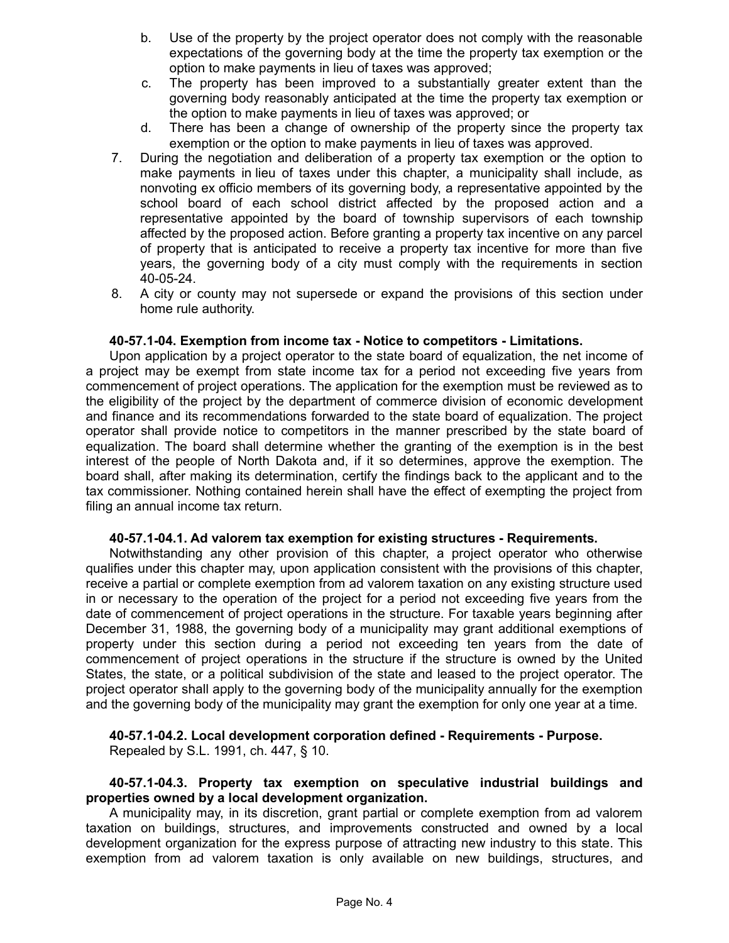- b. Use of the property by the project operator does not comply with the reasonable expectations of the governing body at the time the property tax exemption or the option to make payments in lieu of taxes was approved;
- c. The property has been improved to a substantially greater extent than the governing body reasonably anticipated at the time the property tax exemption or the option to make payments in lieu of taxes was approved; or
- d. There has been a change of ownership of the property since the property tax exemption or the option to make payments in lieu of taxes was approved.
- 7. During the negotiation and deliberation of a property tax exemption or the option to make payments in lieu of taxes under this chapter, a municipality shall include, as nonvoting ex officio members of its governing body, a representative appointed by the school board of each school district affected by the proposed action and a representative appointed by the board of township supervisors of each township affected by the proposed action. Before granting a property tax incentive on any parcel of property that is anticipated to receive a property tax incentive for more than five years, the governing body of a city must comply with the requirements in section 40-05-24.
- 8. A city or county may not supersede or expand the provisions of this section under home rule authority.

#### **40-57.1-04. Exemption from income tax - Notice to competitors - Limitations.**

Upon application by a project operator to the state board of equalization, the net income of a project may be exempt from state income tax for a period not exceeding five years from commencement of project operations. The application for the exemption must be reviewed as to the eligibility of the project by the department of commerce division of economic development and finance and its recommendations forwarded to the state board of equalization. The project operator shall provide notice to competitors in the manner prescribed by the state board of equalization. The board shall determine whether the granting of the exemption is in the best interest of the people of North Dakota and, if it so determines, approve the exemption. The board shall, after making its determination, certify the findings back to the applicant and to the tax commissioner. Nothing contained herein shall have the effect of exempting the project from filing an annual income tax return.

#### **40-57.1-04.1. Ad valorem tax exemption for existing structures - Requirements.**

Notwithstanding any other provision of this chapter, a project operator who otherwise qualifies under this chapter may, upon application consistent with the provisions of this chapter, receive a partial or complete exemption from ad valorem taxation on any existing structure used in or necessary to the operation of the project for a period not exceeding five years from the date of commencement of project operations in the structure. For taxable years beginning after December 31, 1988, the governing body of a municipality may grant additional exemptions of property under this section during a period not exceeding ten years from the date of commencement of project operations in the structure if the structure is owned by the United States, the state, or a political subdivision of the state and leased to the project operator. The project operator shall apply to the governing body of the municipality annually for the exemption and the governing body of the municipality may grant the exemption for only one year at a time.

# **40-57.1-04.2. Local development corporation defined - Requirements - Purpose.**

Repealed by S.L. 1991, ch. 447, § 10.

#### **40-57.1-04.3. Property tax exemption on speculative industrial buildings and properties owned by a local development organization.**

A municipality may, in its discretion, grant partial or complete exemption from ad valorem taxation on buildings, structures, and improvements constructed and owned by a local development organization for the express purpose of attracting new industry to this state. This exemption from ad valorem taxation is only available on new buildings, structures, and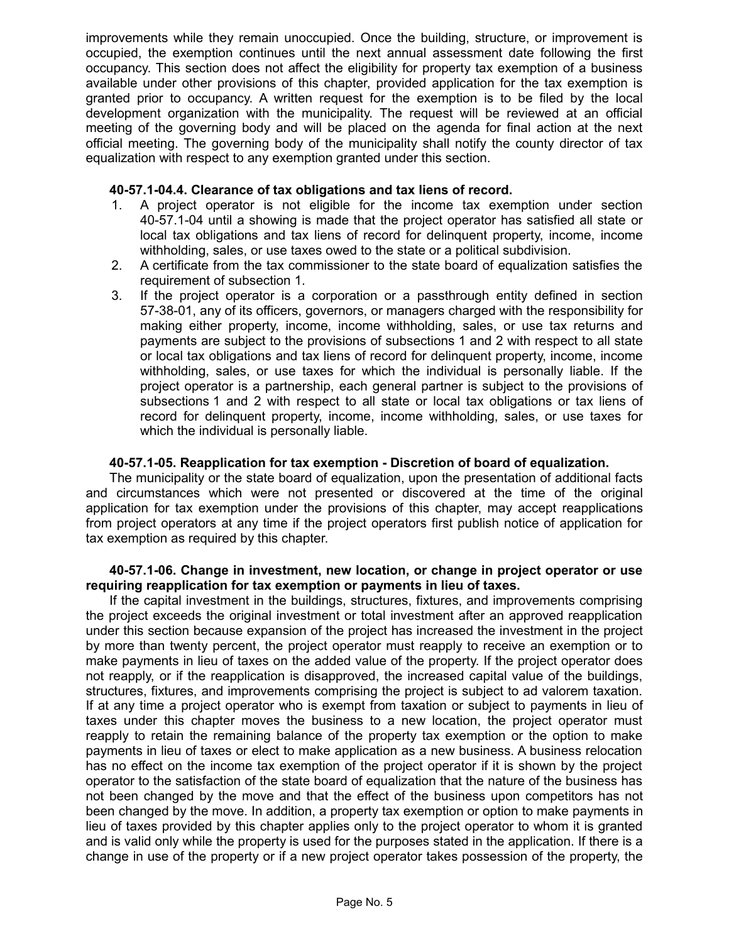improvements while they remain unoccupied. Once the building, structure, or improvement is occupied, the exemption continues until the next annual assessment date following the first occupancy. This section does not affect the eligibility for property tax exemption of a business available under other provisions of this chapter, provided application for the tax exemption is granted prior to occupancy. A written request for the exemption is to be filed by the local development organization with the municipality. The request will be reviewed at an official meeting of the governing body and will be placed on the agenda for final action at the next official meeting. The governing body of the municipality shall notify the county director of tax equalization with respect to any exemption granted under this section.

#### **40-57.1-04.4. Clearance of tax obligations and tax liens of record.**

- 1. A project operator is not eligible for the income tax exemption under section 40-57.1-04 until a showing is made that the project operator has satisfied all state or local tax obligations and tax liens of record for delinquent property, income, income withholding, sales, or use taxes owed to the state or a political subdivision.
- 2. A certificate from the tax commissioner to the state board of equalization satisfies the requirement of subsection 1.
- 3. If the project operator is a corporation or a passthrough entity defined in section 57-38-01, any of its officers, governors, or managers charged with the responsibility for making either property, income, income withholding, sales, or use tax returns and payments are subject to the provisions of subsections 1 and 2 with respect to all state or local tax obligations and tax liens of record for delinquent property, income, income withholding, sales, or use taxes for which the individual is personally liable. If the project operator is a partnership, each general partner is subject to the provisions of subsections 1 and 2 with respect to all state or local tax obligations or tax liens of record for delinquent property, income, income withholding, sales, or use taxes for which the individual is personally liable.

### **40-57.1-05. Reapplication for tax exemption - Discretion of board of equalization.**

The municipality or the state board of equalization, upon the presentation of additional facts and circumstances which were not presented or discovered at the time of the original application for tax exemption under the provisions of this chapter, may accept reapplications from project operators at any time if the project operators first publish notice of application for tax exemption as required by this chapter.

#### **40-57.1-06. Change in investment, new location, or change in project operator or use requiring reapplication for tax exemption or payments in lieu of taxes.**

If the capital investment in the buildings, structures, fixtures, and improvements comprising the project exceeds the original investment or total investment after an approved reapplication under this section because expansion of the project has increased the investment in the project by more than twenty percent, the project operator must reapply to receive an exemption or to make payments in lieu of taxes on the added value of the property. If the project operator does not reapply, or if the reapplication is disapproved, the increased capital value of the buildings, structures, fixtures, and improvements comprising the project is subject to ad valorem taxation. If at any time a project operator who is exempt from taxation or subject to payments in lieu of taxes under this chapter moves the business to a new location, the project operator must reapply to retain the remaining balance of the property tax exemption or the option to make payments in lieu of taxes or elect to make application as a new business. A business relocation has no effect on the income tax exemption of the project operator if it is shown by the project operator to the satisfaction of the state board of equalization that the nature of the business has not been changed by the move and that the effect of the business upon competitors has not been changed by the move. In addition, a property tax exemption or option to make payments in lieu of taxes provided by this chapter applies only to the project operator to whom it is granted and is valid only while the property is used for the purposes stated in the application. If there is a change in use of the property or if a new project operator takes possession of the property, the